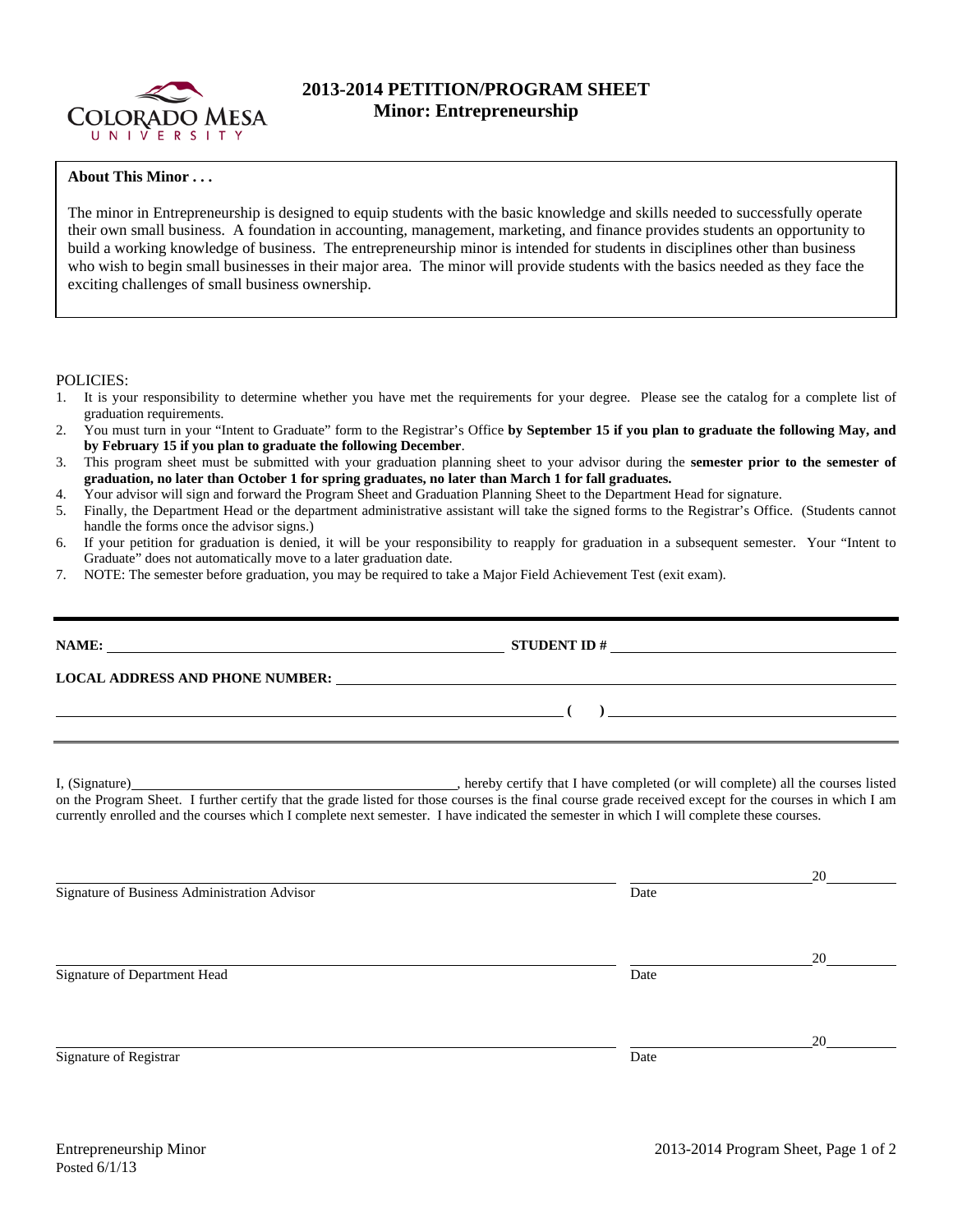

## **2013-2014 PETITION/PROGRAM SHEET Minor: Entrepreneurship**

## **About This Minor . . .**

The minor in Entrepreneurship is designed to equip students with the basic knowledge and skills needed to successfully operate their own small business. A foundation in accounting, management, marketing, and finance provides students an opportunity to build a working knowledge of business. The entrepreneurship minor is intended for students in disciplines other than business who wish to begin small businesses in their major area. The minor will provide students with the basics needed as they face the exciting challenges of small business ownership.

## POLICIES:

- 1. It is your responsibility to determine whether you have met the requirements for your degree. Please see the catalog for a complete list of graduation requirements.
- 2. You must turn in your "Intent to Graduate" form to the Registrar's Office **by September 15 if you plan to graduate the following May, and by February 15 if you plan to graduate the following December**.
- 3. This program sheet must be submitted with your graduation planning sheet to your advisor during the **semester prior to the semester of graduation, no later than October 1 for spring graduates, no later than March 1 for fall graduates.**
- 4. Your advisor will sign and forward the Program Sheet and Graduation Planning Sheet to the Department Head for signature.
- 5. Finally, the Department Head or the department administrative assistant will take the signed forms to the Registrar's Office. (Students cannot handle the forms once the advisor signs.)
- 6. If your petition for graduation is denied, it will be your responsibility to reapply for graduation in a subsequent semester. Your "Intent to Graduate" does not automatically move to a later graduation date.
- 7. NOTE: The semester before graduation, you may be required to take a Major Field Achievement Test (exit exam).

|                                                                                                                                                                                                                                                                                                     | $\overline{\phantom{a}}$ (b) and the set of $\overline{\phantom{a}}$ (c) and the set of $\overline{\phantom{a}}$ (c) and the set of $\overline{\phantom{a}}$ (c) and $\overline{\phantom{a}}$ |    |  |  |  |  |  |
|-----------------------------------------------------------------------------------------------------------------------------------------------------------------------------------------------------------------------------------------------------------------------------------------------------|-----------------------------------------------------------------------------------------------------------------------------------------------------------------------------------------------|----|--|--|--|--|--|
| on the Program Sheet. I further certify that the grade listed for those courses is the final course grade received except for the courses in which I am<br>currently enrolled and the courses which I complete next semester. I have indicated the semester in which I will complete these courses. |                                                                                                                                                                                               |    |  |  |  |  |  |
| Signature of Business Administration Advisor                                                                                                                                                                                                                                                        | Date                                                                                                                                                                                          | 20 |  |  |  |  |  |
| Signature of Department Head                                                                                                                                                                                                                                                                        | Date                                                                                                                                                                                          | 20 |  |  |  |  |  |
| Signature of Registrar                                                                                                                                                                                                                                                                              | Date                                                                                                                                                                                          | 20 |  |  |  |  |  |